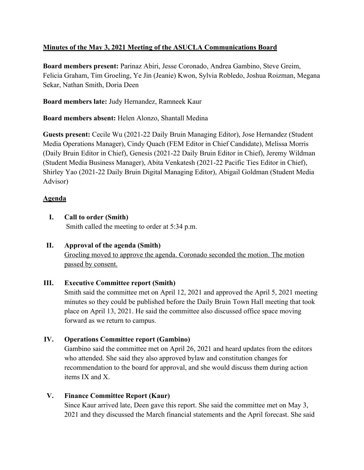## **Minutes of the May 3, 2021 Meeting of the ASUCLA Communications Board**

**Board members present:** Parinaz Abiri, Jesse Coronado, Andrea Gambino, Steve Greim, Felicia Graham, Tim Groeling, Ye Jin (Jeanie) Kwon, Sylvia Robledo, Joshua Roizman, Megana Sekar, Nathan Smith, Doria Deen

**Board members late:** Judy Hernandez, Ramneek Kaur

**Board members absent:** Helen Alonzo, Shantall Medina

**Guests present:** Cecile Wu (2021-22 Daily Bruin Managing Editor), Jose Hernandez (Student Media Operations Manager), Cindy Quach (FEM Editor in Chief Candidate), Melissa Morris (Daily Bruin Editor in Chief), Genesis (2021-22 Daily Bruin Editor in Chief), Jeremy Wildman (Student Media Business Manager), Abita Venkatesh (2021-22 Pacific Ties Editor in Chief), Shirley Yao (2021-22 Daily Bruin Digital Managing Editor), Abigail Goldman (Student Media Advisor)

## **Agenda**

**I. Call to order (Smith)**

Smith called the meeting to order at 5:34 p.m.

**II. Approval of the agenda (Smith)** Groeling moved to approve the agenda. Coronado seconded the motion. The motion passed by consent.

## **III. Executive Committee report (Smith)**

Smith said the committee met on April 12, 2021 and approved the April 5, 2021 meeting minutes so they could be published before the Daily Bruin Town Hall meeting that took place on April 13, 2021. He said the committee also discussed office space moving forward as we return to campus.

## **IV. Operations Committee report (Gambino)**

Gambino said the committee met on April 26, 2021 and heard updates from the editors who attended. She said they also approved bylaw and constitution changes for recommendation to the board for approval, and she would discuss them during action items IX and X.

## **V. Finance Committee Report (Kaur)**

Since Kaur arrived late, Deen gave this report. She said the committee met on May 3, 2021 and they discussed the March financial statements and the April forecast. She said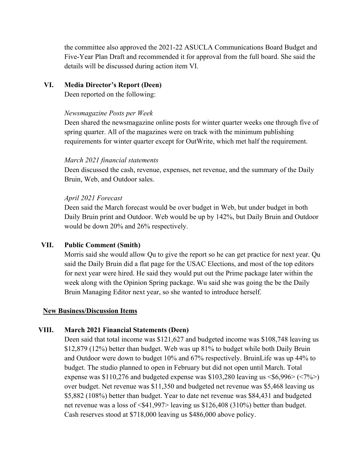the committee also approved the 2021-22 ASUCLA Communications Board Budget and Five-Year Plan Draft and recommended it for approval from the full board. She said the details will be discussed during action item VI.

### **VI. Media Director's Report (Deen)**

Deen reported on the following:

#### *Newsmagazine Posts per Week*

Deen shared the newsmagazine online posts for winter quarter weeks one through five of spring quarter. All of the magazines were on track with the minimum publishing requirements for winter quarter except for OutWrite, which met half the requirement.

#### *March 2021 financial statements*

Deen discussed the cash, revenue, expenses, net revenue, and the summary of the Daily Bruin, Web, and Outdoor sales.

#### *April 2021 Forecast*

Deen said the March forecast would be over budget in Web, but under budget in both Daily Bruin print and Outdoor. Web would be up by 142%, but Daily Bruin and Outdoor would be down 20% and 26% respectively.

### **VII. Public Comment (Smith)**

Morris said she would allow Qu to give the report so he can get practice for next year. Qu said the Daily Bruin did a flat page for the USAC Elections, and most of the top editors for next year were hired. He said they would put out the Prime package later within the week along with the Opinion Spring package. Wu said she was going the be the Daily Bruin Managing Editor next year, so she wanted to introduce herself.

### **New Business/Discussion Items**

### **VIII. March 2021 Financial Statements (Deen)**

Deen said that total income was \$121,627 and budgeted income was \$108,748 leaving us \$12,879 (12%) better than budget. Web was up 81% to budget while both Daily Bruin and Outdoor were down to budget 10% and 67% respectively. BruinLife was up 44% to budget. The studio planned to open in February but did not open until March. Total expense was  $$110,276$  and budgeted expense was  $$103,280$  leaving us  $$6,996>(<7\%)$ over budget. Net revenue was \$11,350 and budgeted net revenue was \$5,468 leaving us \$5,882 (108%) better than budget. Year to date net revenue was \$84,431 and budgeted net revenue was a loss of <\$41,997> leaving us \$126,408 (310%) better than budget. Cash reserves stood at \$718,000 leaving us \$486,000 above policy.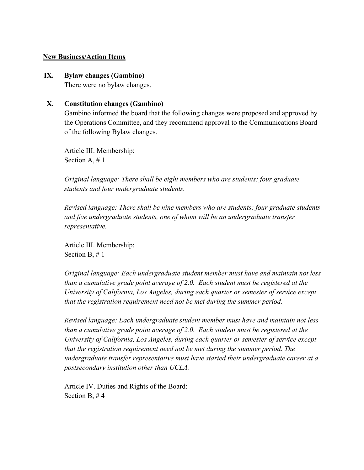#### **New Business/Action Items**

#### **IX. Bylaw changes (Gambino)**

There were no bylaw changes.

#### **X. Constitution changes (Gambino)**

Gambino informed the board that the following changes were proposed and approved by the Operations Committee, and they recommend approval to the Communications Board of the following Bylaw changes.

Article III. Membership: Section A, # 1

*Original language: There shall be eight members who are students: four graduate students and four undergraduate students.*

*Revised language: There shall be nine members who are students: four graduate students and five undergraduate students, one of whom will be an undergraduate transfer representative.*

Article III. Membership: Section B, # 1

*Original language: Each undergraduate student member must have and maintain not less than a cumulative grade point average of 2.0. Each student must be registered at the University of California, Los Angeles, during each quarter or semester of service except that the registration requirement need not be met during the summer period.*

*Revised language: Each undergraduate student member must have and maintain not less than a cumulative grade point average of 2.0. Each student must be registered at the University of California, Los Angeles, during each quarter or semester of service except that the registration requirement need not be met during the summer period. The undergraduate transfer representative must have started their undergraduate career at a postsecondary institution other than UCLA.*

Article IV. Duties and Rights of the Board: Section B, # 4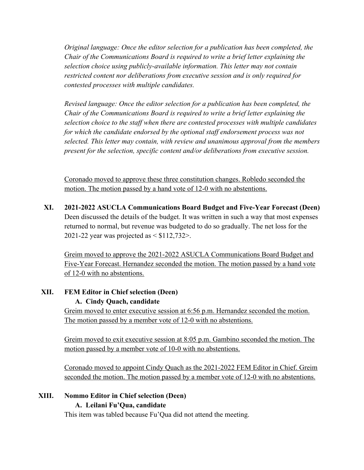*Original language: Once the editor selection for a publication has been completed, the Chair of the Communications Board is required to write a brief letter explaining the selection choice using publicly-available information. This letter may not contain restricted content nor deliberations from executive session and is only required for contested processes with multiple candidates.*

*Revised language: Once the editor selection for a publication has been completed, the Chair of the Communications Board is required to write a brief letter explaining the selection choice to the staff when there are contested processes with multiple candidates for which the candidate endorsed by the optional staff endorsement process was not selected. This letter may contain, with review and unanimous approval from the members present for the selection, specific content and/or deliberations from executive session.*

Coronado moved to approve these three constitution changes. Robledo seconded the motion. The motion passed by a hand vote of 12-0 with no abstentions.

**XI. 2021-2022 ASUCLA Communications Board Budget and Five-Year Forecast (Deen)** Deen discussed the details of the budget. It was written in such a way that most expenses returned to normal, but revenue was budgeted to do so gradually. The net loss for the 2021-22 year was projected as  $\leq$  \$112,732 $>$ .

Greim moved to approve the 2021-2022 ASUCLA Communications Board Budget and Five-Year Forecast. Hernandez seconded the motion. The motion passed by a hand vote of 12-0 with no abstentions.

## **XII. FEM Editor in Chief selection (Deen)**

### **A. Cindy Quach, candidate**

Greim moved to enter executive session at 6:56 p.m. Hernandez seconded the motion. The motion passed by a member vote of 12-0 with no abstentions.

Greim moved to exit executive session at 8:05 p.m. Gambino seconded the motion. The motion passed by a member vote of 10-0 with no abstentions.

Coronado moved to appoint Cindy Quach as the 2021-2022 FEM Editor in Chief. Greim seconded the motion. The motion passed by a member vote of 12-0 with no abstentions.

## **XIII. Nommo Editor in Chief selection (Deen)**

## **A. Leilani Fu'Qua, candidate**

This item was tabled because Fu'Qua did not attend the meeting.